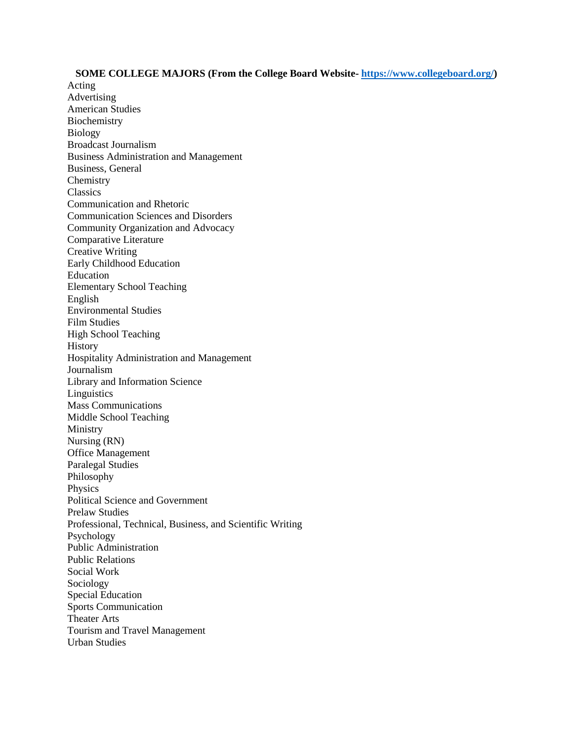## **SOME COLLEGE MAJORS (From the College Board Website- [https://www.collegeboard.org/\)](https://www.collegeboard.org/)**

Acting Advertising American Studies Biochemistry Biology Broadcast Journalism Business Administration and Management Business, General Chemistry **Classics** Communication and Rhetoric Communication Sciences and Disorders Community Organization and Advocacy Comparative Literature Creative Writing Early Childhood Education Education Elementary School Teaching English Environmental Studies Film Studies High School Teaching History Hospitality Administration and Management Journalism Library and Information Science **Linguistics** Mass Communications Middle School Teaching Ministry Nursing (RN) Office Management Paralegal Studies Philosophy Physics Political Science and Government Prelaw Studies Professional, Technical, Business, and Scientific Writing Psychology Public Administration Public Relations Social Work Sociology Special Education Sports Communication Theater Arts Tourism and Travel Management Urban Studies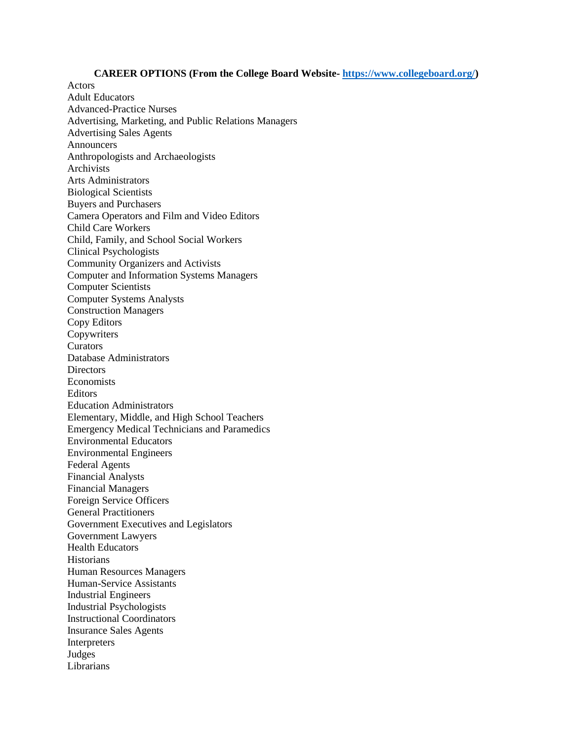## **CAREER OPTIONS (From the College Board Website- [https://www.collegeboard.org/\)](https://www.collegeboard.org/)**

Adult Educators Advanced-Practice Nurses Advertising, Marketing, and Public Relations Managers Advertising Sales Agents Announcers Anthropologists and Archaeologists Archivists Arts Administrators Biological Scientists Buyers and Purchasers Camera Operators and Film and Video Editors Child Care Workers Child, Family, and School Social Workers Clinical Psychologists Community Organizers and Activists Computer and Information Systems Managers Computer Scientists Computer Systems Analysts Construction Managers Copy Editors Copywriters **Curators** Database Administrators **Directors** Economists Editors Education Administrators Elementary, Middle, and High School Teachers Emergency Medical Technicians and Paramedics Environmental Educators Environmental Engineers Federal Agents Financial Analysts Financial Managers Foreign Service Officers General Practitioners Government Executives and Legislators Government Lawyers Health Educators **Historians** Human Resources Managers Human-Service Assistants Industrial Engineers Industrial Psychologists Instructional Coordinators Insurance Sales Agents Interpreters Judges Librarians

Actors